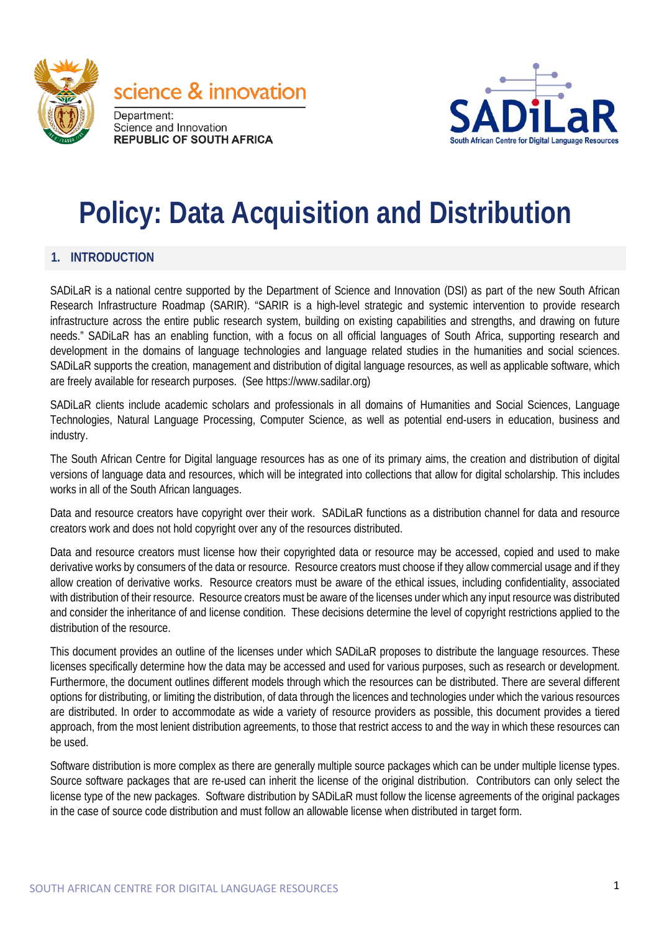



# **Policy: Data Acquisition and Distribution**

#### **1. INTRODUCTION**

SADiLaR is a national centre supported by the Department of Science and Innovation (DSI) as part of the new South African Research Infrastructure Roadmap (SARIR). "SARIR is a high-level strategic and systemic intervention to provide research infrastructure across the entire public research system, building on existing capabilities and strengths, and drawing on future needs." SADiLaR has an enabling function, with a focus on all official languages of South Africa, supporting research and development in the domains of language technologies and language related studies in the humanities and social sciences. SADiLaR supports the creation, management and distribution of digital language resources, as well as applicable software, which are freely available for research purposes. (See https://www.sadilar.org)

SADiLaR clients include academic scholars and professionals in all domains of Humanities and Social Sciences, Language Technologies, Natural Language Processing, Computer Science, as well as potential end-users in education, business and industry.

The South African Centre for Digital language resources has as one of its primary aims, the creation and distribution of digital versions of language data and resources, which will be integrated into collections that allow for digital scholarship. This includes works in all of the South African languages.

Data and resource creators have copyright over their work. SADiLaR functions as a distribution channel for data and resource creators work and does not hold copyright over any of the resources distributed.

Data and resource creators must license how their copyrighted data or resource may be accessed, copied and used to make derivative works by consumers of the data or resource. Resource creators must choose if they allow commercial usage and if they allow creation of derivative works. Resource creators must be aware of the ethical issues, including confidentiality, associated with distribution of their resource. Resource creators must be aware of the licenses under which any input resource was distributed and consider the inheritance of and license condition. These decisions determine the level of copyright restrictions applied to the distribution of the resource.

This document provides an outline of the licenses under which SADiLaR proposes to distribute the language resources. These licenses specifically determine how the data may be accessed and used for various purposes, such as research or development. Furthermore, the document outlines different models through which the resources can be distributed. There are several different options for distributing, or limiting the distribution, of data through the licences and technologies under which the various resources are distributed. In order to accommodate as wide a variety of resource providers as possible, this document provides a tiered approach, from the most lenient distribution agreements, to those that restrict access to and the way in which these resources can be used.

Software distribution is more complex as there are generally multiple source packages which can be under multiple license types. Source software packages that are re-used can inherit the license of the original distribution. Contributors can only select the license type of the new packages. Software distribution by SADiLaR must follow the license agreements of the original packages in the case of source code distribution and must follow an allowable license when distributed in target form.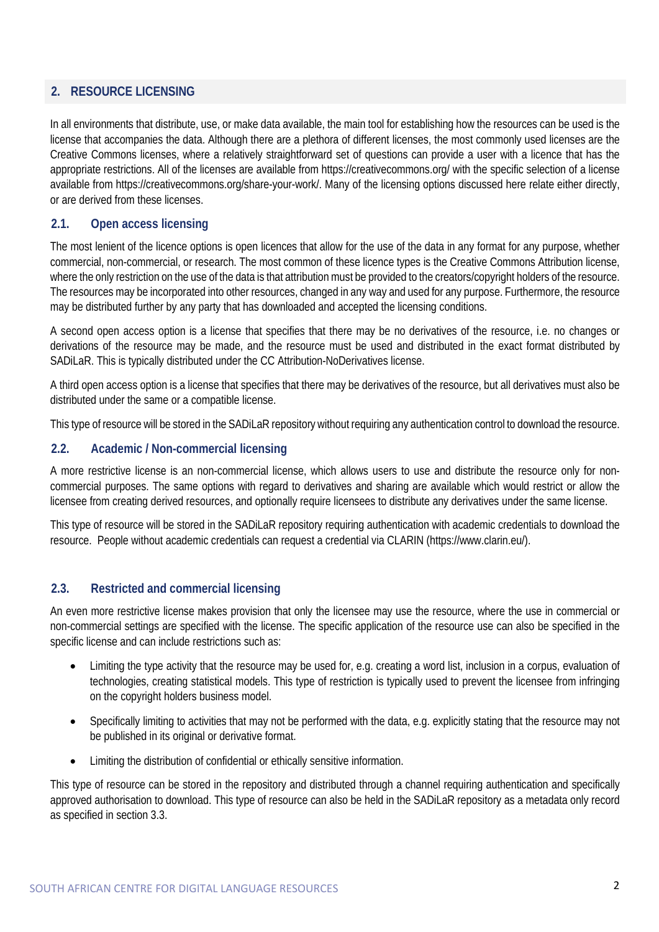# **2. RESOURCE LICENSING**

In all environments that distribute, use, or make data available, the main tool for establishing how the resources can be used is the license that accompanies the data. Although there are a plethora of different licenses, the most commonly used licenses are the Creative Commons licenses, where a relatively straightforward set of questions can provide a user with a licence that has the appropriate restrictions. All of the licenses are available from https://creativecommons.org/ with the specific selection of a license available from https://creativecommons.org/share-your-work/. Many of the licensing options discussed here relate either directly, or are derived from these licenses.

### **2.1. Open access licensing**

The most lenient of the licence options is open licences that allow for the use of the data in any format for any purpose, whether commercial, non-commercial, or research. The most common of these licence types is the Creative Commons Attribution license, where the only restriction on the use of the data is that attribution must be provided to the creators/copyright holders of the resource. The resources may be incorporated into other resources, changed in any way and used for any purpose. Furthermore, the resource may be distributed further by any party that has downloaded and accepted the licensing conditions.

A second open access option is a license that specifies that there may be no derivatives of the resource, i.e. no changes or derivations of the resource may be made, and the resource must be used and distributed in the exact format distributed by SADiLaR. This is typically distributed under the CC Attribution-NoDerivatives license.

A third open access option is a license that specifies that there may be derivatives of the resource, but all derivatives must also be distributed under the same or a compatible license.

This type of resource will be stored in the SADiLaR repository without requiring any authentication control to download the resource.

#### **2.2. Academic / Non-commercial licensing**

A more restrictive license is an non-commercial license, which allows users to use and distribute the resource only for noncommercial purposes. The same options with regard to derivatives and sharing are available which would restrict or allow the licensee from creating derived resources, and optionally require licensees to distribute any derivatives under the same license.

This type of resource will be stored in the SADiLaR repository requiring authentication with academic credentials to download the resource. People without academic credentials can request a credential via CLARIN (https://www.clarin.eu/).

## **2.3. Restricted and commercial licensing**

An even more restrictive license makes provision that only the licensee may use the resource, where the use in commercial or non-commercial settings are specified with the license. The specific application of the resource use can also be specified in the specific license and can include restrictions such as:

- Limiting the type activity that the resource may be used for, e.g. creating a word list, inclusion in a corpus, evaluation of technologies, creating statistical models. This type of restriction is typically used to prevent the licensee from infringing on the copyright holders business model.
- Specifically limiting to activities that may not be performed with the data, e.g. explicitly stating that the resource may not be published in its original or derivative format.
- Limiting the distribution of confidential or ethically sensitive information.

This type of resource can be stored in the repository and distributed through a channel requiring authentication and specifically approved authorisation to download. This type of resource can also be held in the SADiLaR repository as a metadata only record as specified in section 3.3.